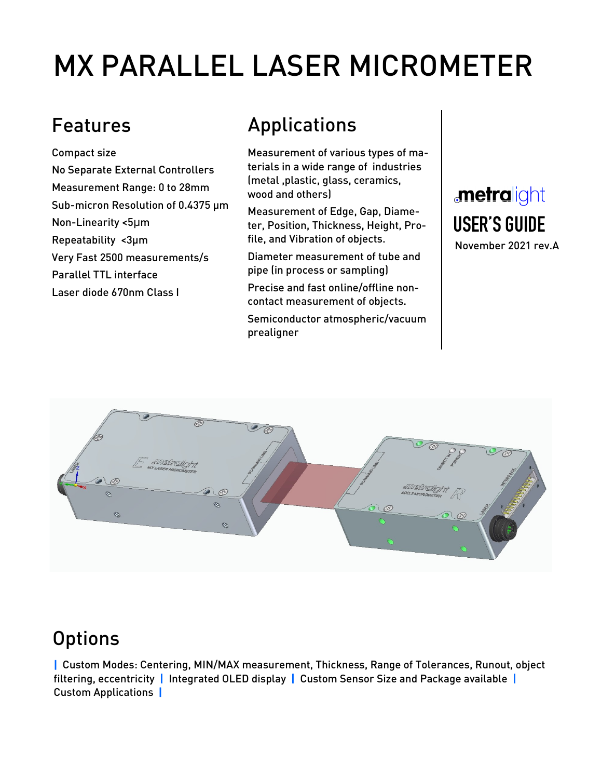# MX PARALLEL LASER MICROMETER

Compact size No Separate External Controllers Measurement Range: 0 to 28mm Sub-micron Resolution of 0.4375 µm Non-Linearity <5μm Repeatability <3µm Very Fast 2500 measurements/s Parallel TTL interface Laser diode 670nm Class I

## Features **Applications**

Measurement of various types of materials in a wide range of industries (metal ,plastic, glass, ceramics, wood and others)

Measurement of Edge, Gap, Diameter, Position, Thickness, Height, Profile, and Vibration of objects.

Diameter measurement of tube and pipe (in process or sampling)

Precise and fast online/offline noncontact measurement of objects.

Semiconductor atmospheric/vacuum prealigner

# **metralight** USER'S GUIDE

November 2021 rev.A



## **Options**

| Custom Modes: Centering, MIN/MAX measurement, Thickness, Range of Tolerances, Runout, object filtering, eccentricity | Integrated OLED display | Custom Sensor Size and Package available | Custom Applications |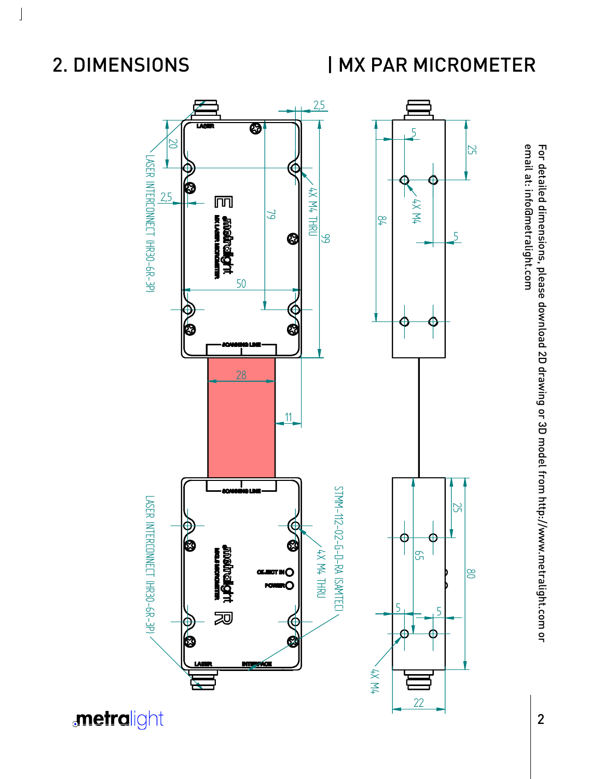### 2. DIMENSIONS

 $\int$ 

## | MX PAR MICROMETER



email at: info@metralight.com For detailed dimensions, please download 2D drawing or 3D model from http://www.metralight.com or email at: info@metralight.com For detailed dimensions, please download 2D drawing or 3D model from http://www.metralight.com or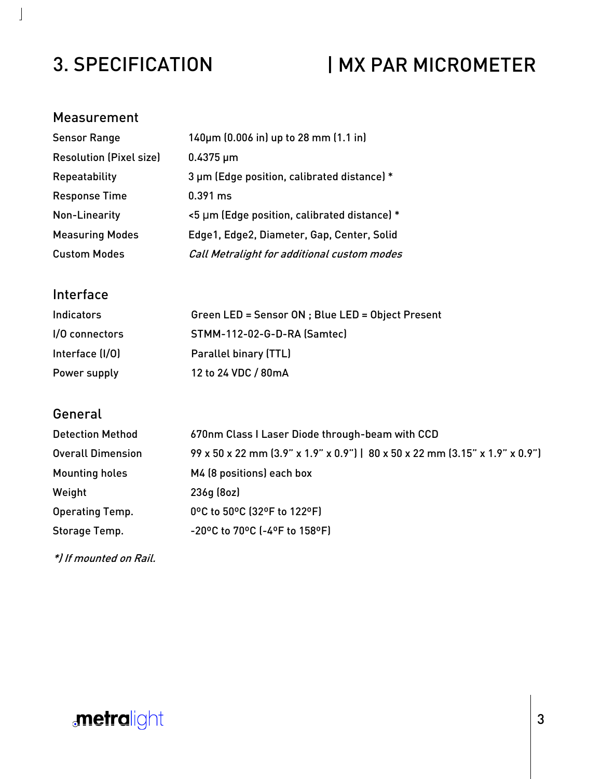### 3. SPECIFICATION

## | MX PAR MICROMETER

#### Measurement

 $\bf \bf j$ 

| <b>Sensor Range</b>            | 140um (0.006 in) up to 28 mm (1.1 in)        |
|--------------------------------|----------------------------------------------|
| <b>Resolution (Pixel size)</b> | $0.4375 \,\mu m$                             |
| Repeatability                  | 3 µm (Edge position, calibrated distance) *  |
| <b>Response Time</b>           | $0.391$ ms                                   |
| Non-Linearity                  | <5 µm (Edge position, calibrated distance) * |
| <b>Measuring Modes</b>         | Edge1, Edge2, Diameter, Gap, Center, Solid   |
| <b>Custom Modes</b>            | Call Metralight for additional custom modes  |

#### Interface

| <b>Indicators</b> | Green LED = Sensor ON ; Blue LED = Object Present |
|-------------------|---------------------------------------------------|
| I/O connectors    | STMM-112-02-G-D-RA (Samtec)                       |
| Interface (I/O)   | Parallel binary (TTL)                             |
| Power supply      | 12 to 24 VDC / 80mA                               |

#### **General**

| <b>Detection Method</b>  | 670nm Class I Laser Diode through-beam with CCD                              |
|--------------------------|------------------------------------------------------------------------------|
| <b>Overall Dimension</b> | 99 x 50 x 22 mm (3.9" x 1.9" x 0.9")   80 x 50 x 22 mm (3.15" x 1.9" x 0.9") |
| <b>Mounting holes</b>    | M4 (8 positions) each box                                                    |
| Weight                   | 236q(8oz)                                                                    |
| Operating Temp.          | 0°C to 50°C (32°F to 122°F)                                                  |
| Storage Temp.            | -20°C to 70°C (-4°F to 158°F)                                                |

\*) If mounted on Rail.

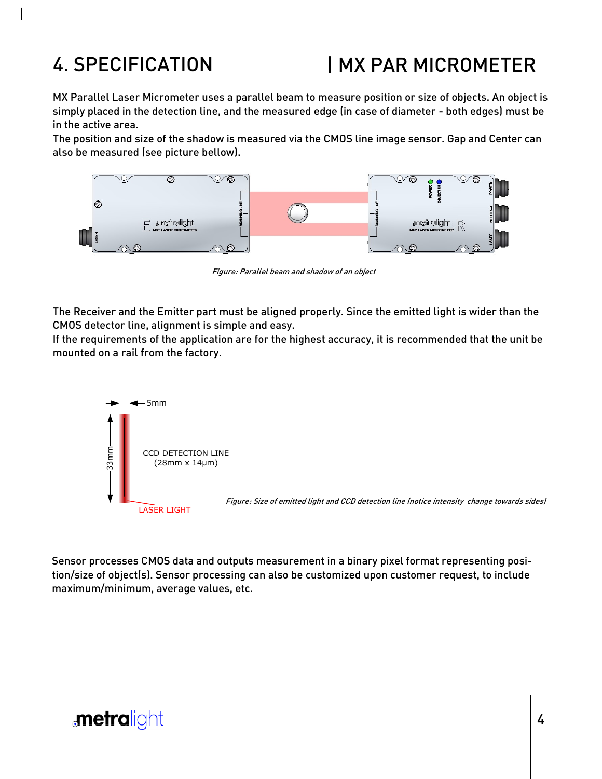## 4. SPECIFICATION

## | MX PAR MICROMETER

MX Parallel Laser Micrometer uses a parallel beam to measure position or size of objects. An object is simply placed in the detection line, and the measured edge (in case of diameter - both edges) must be in the active area.

The position and size of the shadow is measured via the CMOS line image sensor. Gap and Center can also be measured (see picture bellow).



Figure: Parallel beam and shadow of an object

The Receiver and the Emitter part must be aligned properly. Since the emitted light is wider than the CMOS detector line, alignment is simple and easy.

If the requirements of the application are for the highest accuracy, it is recommended that the unit be mounted on a rail from the factory.



Sensor processes CMOS data and outputs measurement in a binary pixel format representing position/size of object(s). Sensor processing can also be customized upon customer request, to include maximum/minimum, average values, etc.

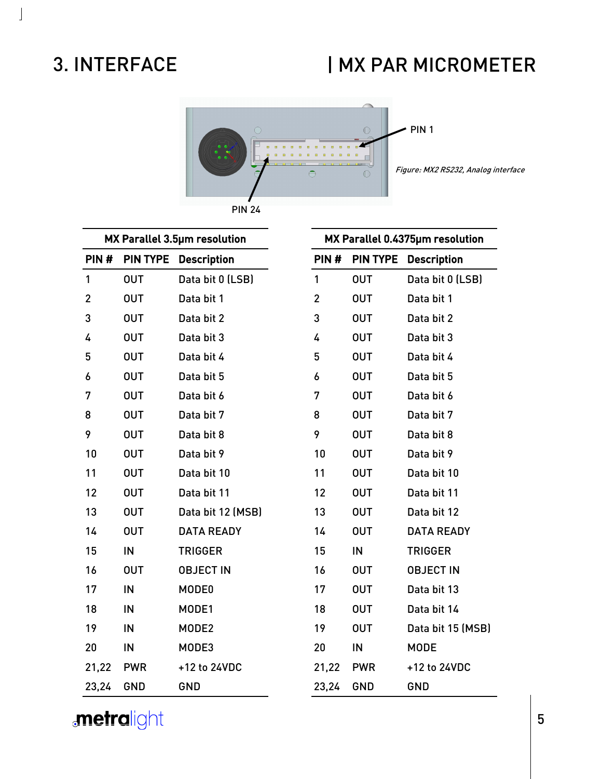#### 3. INTERFACE

 $\perp$ 

#### | MX PAR MICROMETER



MX Parallel 3.5µm resolution PIN # PIN TYPE Description OUT Data bit 0 (LSB) OUT Data bit 1 OUT Data bit 2 OUT Data bit 3 OUT Data bit 4 OUT Data bit 5 OUT Data bit 6 OUT Data bit 7 OUT Data bit 8 OUT Data bit 9 OUT Data bit 10 OUT Data bit 11 OUT Data bit 12 (MSB) OUT DATA READY IN TRIGGER OUT OBJECT IN IN MODE0 IN MODE1 IN MODE2 IN MODE3 21,22 PWR +12 to 24VDC 23,24 GND GND MX Parallel 0.4375µm resolution PIN # PIN TYPE Description OUT Data bit 0 (LSB) OUT Data bit 1 OUT Data bit 2 OUT Data bit 3 OUT Data bit 4 OUT Data bit 5 OUT Data bit 6 OUT Data bit 7 OUT Data bit 8 OUT Data bit 9 OUT Data bit 10 OUT Data bit 11 OUT Data bit 12 OUT DATA READY IN TRIGGER OUT OBJECT IN OUT Data bit 13 OUT Data bit 14 OUT Data bit 15 (MSB) IN MODE 21,22 PWR +12 to 24VDC 23,24 GND GND

*<u>metralight</u>* 

####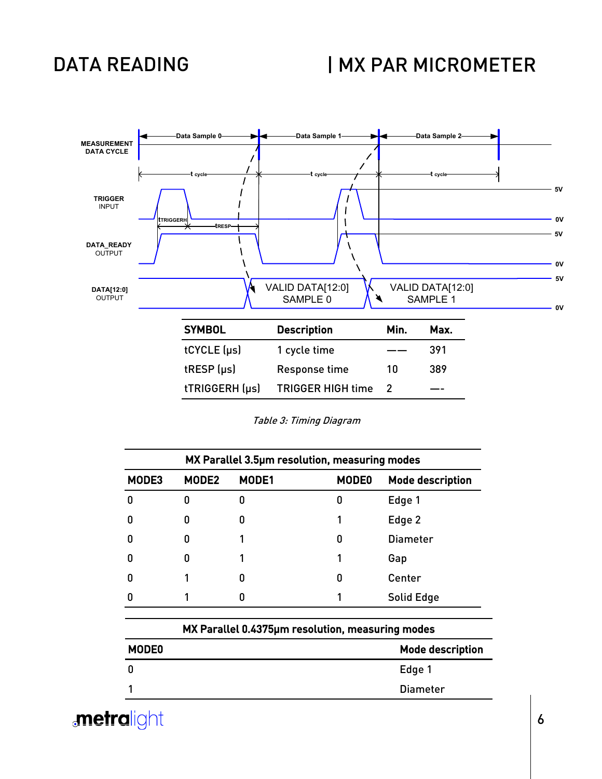#### DATA READING

#### | MX PAR MICROMETER



|  | Table 3: Timing Diagram |
|--|-------------------------|
|  |                         |

|       | MX Parallel 3.5µm resolution, measuring modes |       |              |                  |
|-------|-----------------------------------------------|-------|--------------|------------------|
| MODE3 | MODE2                                         | MODE1 | <b>MODE0</b> | Mode description |
| n     | n                                             | 0     | 0            | Edge 1           |
| 0     | ŋ                                             | 0     |              | Edge 2           |
| 0     | n                                             |       | 0            | <b>Diameter</b>  |
| ŋ     |                                               |       |              | Gap              |
| 0     |                                               | 0     | 0            | Center           |
| ŋ     |                                               | 0     |              | Solid Edge       |

|                   | MX Parallel 0.4375um resolution, measuring modes |  |  |
|-------------------|--------------------------------------------------|--|--|
| MODE <sub>0</sub> | <b>Mode description</b>                          |  |  |
| 0                 | Edge 1                                           |  |  |
|                   | Diameter                                         |  |  |
|                   |                                                  |  |  |

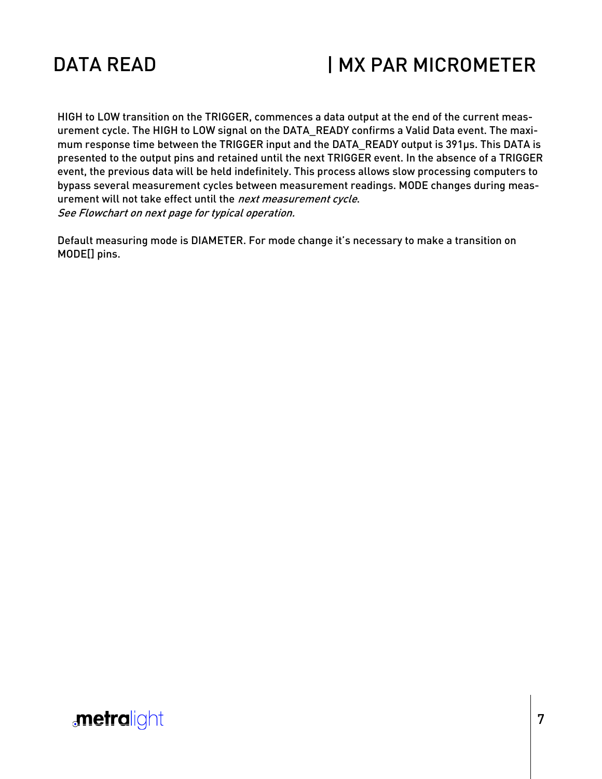

#### | MX PAR MICROMETER

HIGH to LOW transition on the TRIGGER, commences a data output at the end of the current measurement cycle. The HIGH to LOW signal on the DATA\_READY confirms a Valid Data event. The maximum response time between the TRIGGER input and the DATA\_READY output is 391µs. This DATA is presented to the output pins and retained until the next TRIGGER event. In the absence of a TRIGGER event, the previous data will be held indefinitely. This process allows slow processing computers to bypass several measurement cycles between measurement readings. MODE changes during measurement will not take effect until the next measurement cycle. See Flowchart on next page for typical operation.

Default measuring mode is DIAMETER. For mode change it's necessary to make a transition on MODE[] pins.

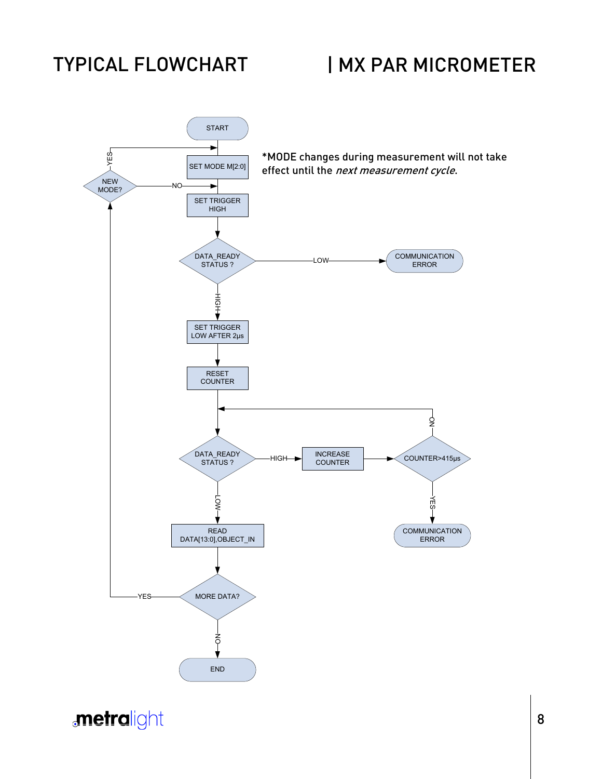#### TYPICAL FLOWCHART

#### | MX PAR MICROMETER



**metralight**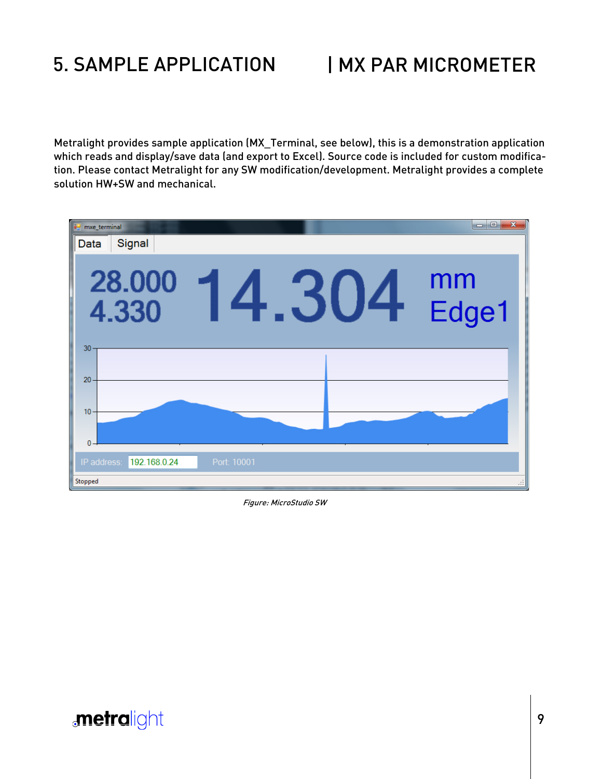## 5. SAMPLE APPLICATION

#### | MX PAR MICROMETER

Metralight provides sample application (MX\_Terminal, see below), this is a demonstration application which reads and display/save data (and export to Excel). Source code is included for custom modification. Please contact Metralight for any SW modification/development. Metralight provides a complete solution HW+SW and mechanical.



Figure: MicroStudio SW

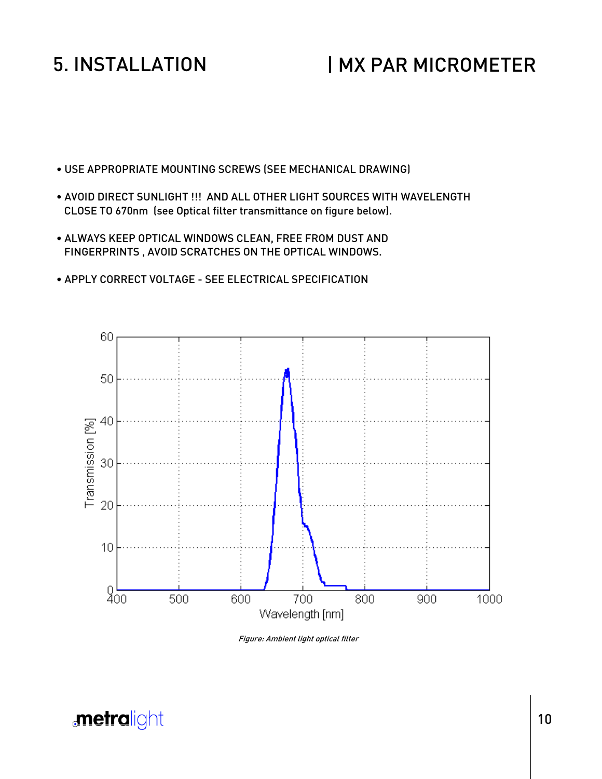#### 5. INSTALLATION

#### | MX PAR MICROMETER

- USE APPROPRIATE MOUNTING SCREWS (SEE MECHANICAL DRAWING)
- AVOID DIRECT SUNLIGHT !!! AND ALL OTHER LIGHT SOURCES WITH WAVELENGTH CLOSE TO 670nm (see Optical filter transmittance on figure below).
- ALWAYS KEEP OPTICAL WINDOWS CLEAN, FREE FROM DUST AND FINGERPRINTS , AVOID SCRATCHES ON THE OPTICAL WINDOWS.
- APPLY CORRECT VOLTAGE SEE ELECTRICAL SPECIFICATION



Figure: Ambient light optical filter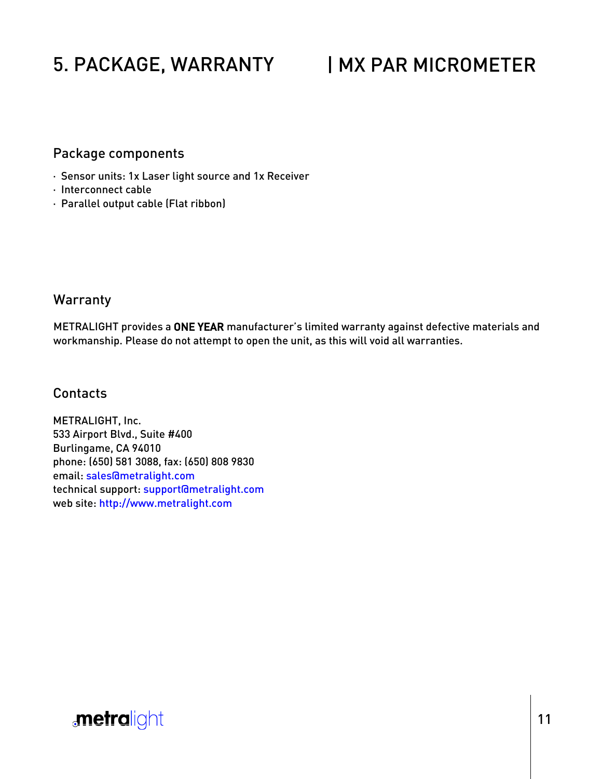## 5. PACKAGE, WARRANTY

### | MX PAR MICROMETER

#### Package components

- · Sensor units: 1x Laser light source and 1x Receiver
- · Interconnect cable
- · Parallel output cable (Flat ribbon)

#### **Warranty**

METRALIGHT provides a ONE YEAR manufacturer's limited warranty against defective materials and workmanship. Please do not attempt to open the unit, as this will void all warranties.

#### Contacts

METRALIGHT, Inc. 533 Airport Blvd., Suite #400 Burlingame, CA 94010 phone: (650) 581 3088, fax: (650) 808 9830 email: sales@metralight.com technical support: support@metralight.com web site: http://www.metralight.com

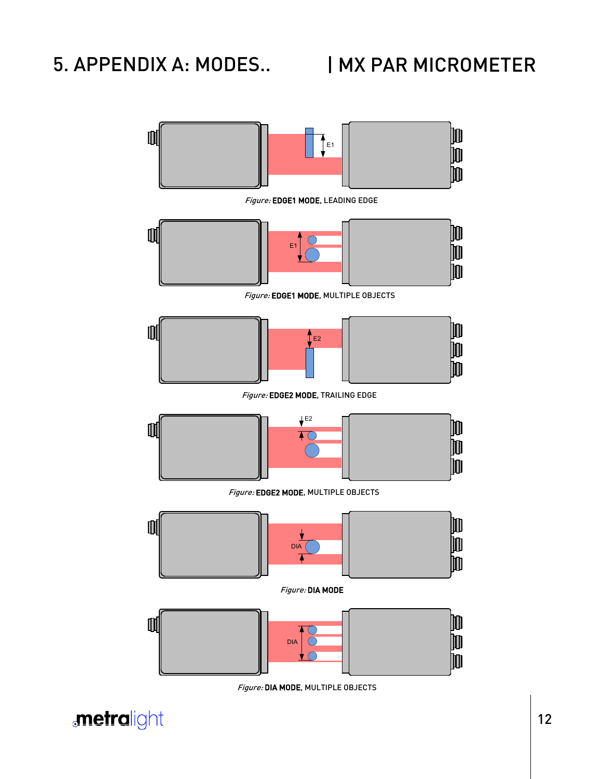#### 5. APPENDIX A: MODES..

#### | MX PAR MICROMETER



Figure: DIA MODE, MULTIPLE OBJECTS

**metralight**